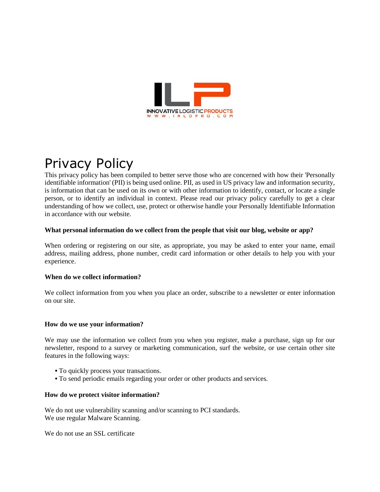

# Privacy Policy

This privacy policy has been compiled to better serve those who are concerned with how their 'Personally identifiable information' (PII) is being used online. PII, as used in US privacy law and information security, is information that can be used on its own or with other information to identify, contact, or locate a single person, or to identify an individual in context. Please read our privacy policy carefully to get a clear understanding of how we collect, use, protect or otherwise handle your Personally Identifiable Information in accordance with our website.

#### **What personal information do we collect from the people that visit our blog, website or app?**

When ordering or registering on our site, as appropriate, you may be asked to enter your name, email address, mailing address, phone number, credit card information or other details to help you with your experience.

#### **When do we collect information?**

We collect information from you when you place an order, subscribe to a newsletter or enter information on our site.

#### **How do we use your information?**

We may use the information we collect from you when you register, make a purchase, sign up for our newsletter, respond to a survey or marketing communication, surf the website, or use certain other site features in the following ways:

- **•** To quickly process your transactions.
- **•** To send periodic emails regarding your order or other products and services.

#### **How do we protect visitor information?**

We do not use vulnerability scanning and/or scanning to PCI standards. We use regular Malware Scanning.

We do not use an SSL certificate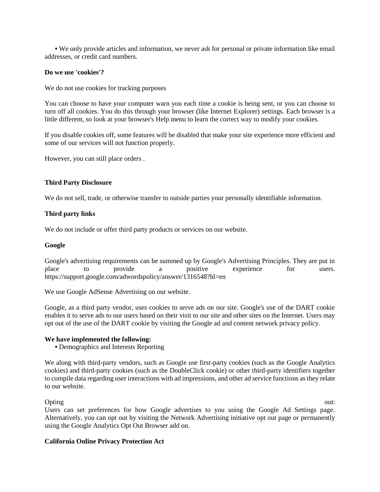**•** We only provide articles and information, we never ask for personal or private information like email addresses, or credit card numbers.

#### **Do we use 'cookies'?**

We do not use cookies for tracking purposes

You can choose to have your computer warn you each time a cookie is being sent, or you can choose to turn off all cookies. You do this through your browser (like Internet Explorer) settings. Each browser is a little different, so look at your browser's Help menu to learn the correct way to modify your cookies.

If you disable cookies off, some features will be disabled that make your site experience more efficient and some of our services will not function properly.

However, you can still place orders .

#### **Third Party Disclosure**

We do not sell, trade, or otherwise transfer to outside parties your personally identifiable information.

#### **Third party links**

We do not include or offer third party products or services on our website.

#### **Google**

Google's advertising requirements can be summed up by Google's Advertising Principles. They are put in place to provide a positive experience for users. https://support.google.com/adwordspolicy/answer/1316548?hl=en

We use Google AdSense Advertising on our website.

Google, as a third party vendor, uses cookies to serve ads on our site. Google's use of the DART cookie enables it to serve ads to our users based on their visit to our site and other sites on the Internet. Users may opt out of the use of the DART cookie by visiting the Google ad and content network privacy policy.

#### **We have implemented the following:**

**•** Demographics and Interests Reporting

We along with third-party vendors, such as Google use first-party cookies (such as the Google Analytics cookies) and third-party cookies (such as the DoubleClick cookie) or other third-party identifiers together to compile data regarding user interactions with ad impressions, and other ad service functions as they relate to our website.

Opting out: Users can set preferences for how Google advertises to you using the Google Ad Settings page. Alternatively, you can opt out by visiting the Network Advertising initiative opt out page or permanently using the Google Analytics Opt Out Browser add on.

#### **California Online Privacy Protection Act**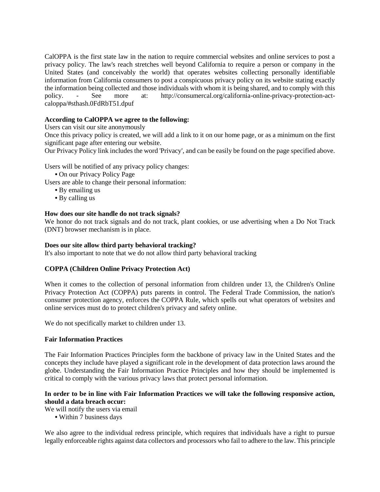CalOPPA is the first state law in the nation to require commercial websites and online services to post a privacy policy. The law's reach stretches well beyond California to require a person or company in the United States (and conceivably the world) that operates websites collecting personally identifiable information from California consumers to post a conspicuous privacy policy on its website stating exactly the information being collected and those individuals with whom it is being shared, and to comply with this policy. - See more at: http://consumercal.org/california-online-privacy-protection-actcaloppa/#sthash.0FdRbT51.dpuf

#### **According to CalOPPA we agree to the following:**

Users can visit our site anonymously

Once this privacy policy is created, we will add a link to it on our home page, or as a minimum on the first significant page after entering our website.

Our Privacy Policy link includes the word 'Privacy', and can be easily be found on the page specified above.

Users will be notified of any privacy policy changes:

**•** On our Privacy Policy Page

Users are able to change their personal information:

- **•** By emailing us
- **•** By calling us

#### **How does our site handle do not track signals?**

We honor do not track signals and do not track, plant cookies, or use advertising when a Do Not Track (DNT) browser mechanism is in place.

#### **Does our site allow third party behavioral tracking?**

It's also important to note that we do not allow third party behavioral tracking

#### **COPPA (Children Online Privacy Protection Act)**

When it comes to the collection of personal information from children under 13, the Children's Online Privacy Protection Act (COPPA) puts parents in control. The Federal Trade Commission, the nation's consumer protection agency, enforces the COPPA Rule, which spells out what operators of websites and online services must do to protect children's privacy and safety online.

We do not specifically market to children under 13.

#### **Fair Information Practices**

The Fair Information Practices Principles form the backbone of privacy law in the United States and the concepts they include have played a significant role in the development of data protection laws around the globe. Understanding the Fair Information Practice Principles and how they should be implemented is critical to comply with the various privacy laws that protect personal information.

#### **In order to be in line with Fair Information Practices we will take the following responsive action, should a data breach occur:**

We will notify the users via email

**•** Within 7 business days

We also agree to the individual redress principle, which requires that individuals have a right to pursue legally enforceable rights against data collectors and processors who fail to adhere to the law. This principle